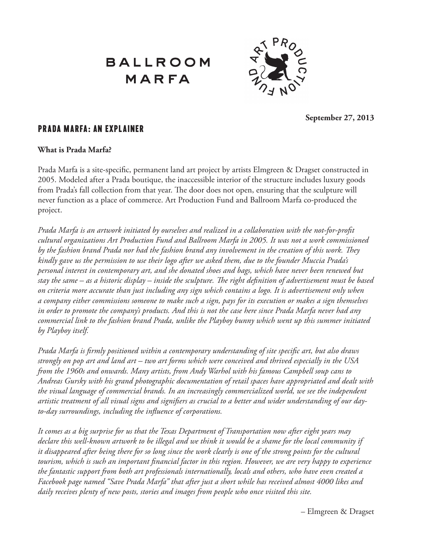

**September 27, 2013**

### Prada Marfa: An Explainer

#### **What is Prada Marfa?**

Prada Marfa is a site-specific, permanent land art project by artists Elmgreen & Dragset constructed in 2005. Modeled after a Prada boutique, the inaccessible interior of the structure includes luxury goods from Prada's fall collection from that year. The door does not open, ensuring that the sculpture will never function as a place of commerce. Art Production Fund and Ballroom Marfa co-produced the project.

*Prada Marfa is an artwork initiated by ourselves and realized in a collaboration with the not-for-profit cultural organizations Art Production Fund and Ballroom Marfa in 2005. It was not a work commissioned by the fashion brand Prada nor had the fashion brand any involvement in the creation of this work. They kindly gave us the permission to use their logo after we asked them, due to the founder Muccia Prada's personal interest in contemporary art, and she donated shoes and bags, which have never been renewed but stay the same – as a historic display – inside the sculpture. The right definition of advertisement must be based on criteria more accurate than just including any sign which contains a logo. It is advertisement only when a company either commissions someone to make such a sign, pays for its execution or makes a sign themselves in order to promote the company's products. And this is not the case here since Prada Marfa never had any commercial link to the fashion brand Prada, unlike the Playboy bunny which went up this summer initiated by Playboy itself.*

*Prada Marfa is firmly positioned within a contemporary understanding of site specific art, but also draws strongly on pop art and land art – two art forms which were conceived and thrived especially in the USA from the 1960s and onwards. Many artists, from Andy Warhol with his famous Campbell soup cans to Andreas Gursky with his grand photographic documentation of retail spaces have appropriated and dealt with the visual language of commercial brands. In an increasingly commercialized world, we see the independent artistic treatment of all visual signs and signifiers as crucial to a better and wider understanding of our dayto-day surroundings, including the influence of corporations.*

*It comes as a big surprise for us that the Texas Department of Transportation now after eight years may declare this well-known artwork to be illegal and we think it would be a shame for the local community if it disappeared after being there for so long since the work clearly is one of the strong points for the cultural tourism, which is such an important financial factor in this region. However, we are very happy to experience the fantastic support from both art professionals internationally, locals and others, who have even created a Facebook page named "Save Prada Marfa" that after just a short while has received almost 4000 likes and daily receives plenty of new posts, stories and images from people who once visited this site.*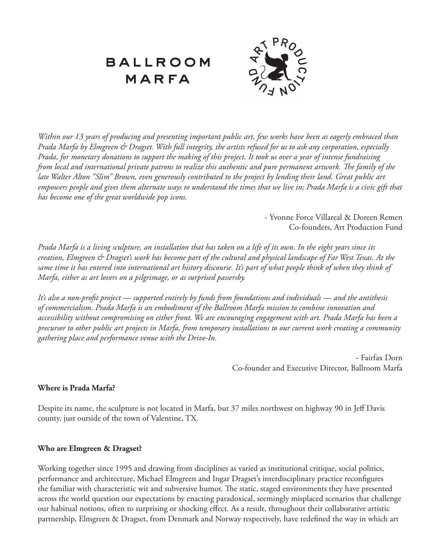

*Within our 13 years of producing and presenting important public art, few works have been as eagerly embraced than Prada Marfa by Elmgreen & Dragset. With full integrity, the artists refused for us to ask any corporation, especially Prada, for monetary donations to support the making of this project. It took us over a year of intense fundraising from local and international private patrons to realize this authentic and pure permanent artwork. The family of the late Walter Alton "Slim" Brown, even generously contributed to the project by lending their land. Great public art empowers people and gives them alternate ways to understand the times that we live in; Prada Marfa is a civic gift that has become one of the great worldwide pop icons.*

> - Yvonne Force Villareal & Doreen Remen Co-founders, Art Production Fund

*Prada Marfa is a living sculpture, an installation that has taken on a life of its own. In the eight years since its creation, Elmgreen & Dragset's work has become part of the cultural and physical landscape of Far West Texas. At the same time it has entered into international art history discourse. It's part of what people think of when they think of Marfa, either as art lovers on a pilgrimage, or as surprised passersby.*

*It's also a non-profit project — supported entirely by funds from foundations and individuals — and the antithesis of commercialism. Prada Marfa is an embodiment of the Ballroom Marfa mission to combine innovation and accessibility without compromising on either front. We are encouraging engagement with art. Prada Marfa has been a precursor to other public art projects in Marfa, from temporary installations to our current work creating a community gathering place and performance venue with the Drive-In.*

> - Fairfax Dorn Co-founder and Executive Director, Ballroom Marfa

#### **Where is Prada Marfa?**

Despite its name, the sculpture is not located in Marfa, but 37 miles northwest on highway 90 in Jeff Davis county, just outside of the town of Valentine, TX.

#### **Who are Elmgreen & Dragset?**

Working together since 1995 and drawing from disciplines as varied as institutional critique, social politics, performance and architecture, Michael Elmgreen and Ingar Dragset's interdisciplinary practice reconfigures the familiar with characteristic wit and subversive humor. The static, staged environments they have presented across the world question our expectations by enacting paradoxical, seemingly misplaced scenarios that challenge our habitual notions, often to surprising or shocking effect. As a result, throughout their collaborative artistic partnership, Elmgreen & Dragset, from Denmark and Norway respectively, have redefined the way in which art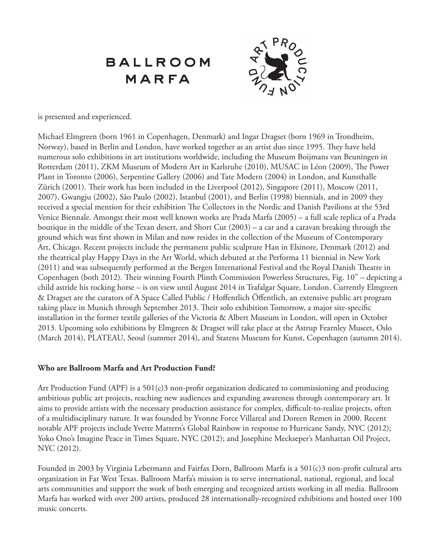

is presented and experienced.

Michael Elmgreen (born 1961 in Copenhagen, Denmark) and Ingar Dragset (born 1969 in Trondheim, Norway), based in Berlin and London, have worked together as an artist duo since 1995. They have held numerous solo exhibitions in art institutions worldwide, including the Museum Boijmans van Beuningen in Rotterdam (2011), ZKM Museum of Modern Art in Karlsruhe (2010), MUSAC in Léon (2009), The Power Plant in Toronto (2006), Serpentine Gallery (2006) and Tate Modern (2004) in London, and Kunsthalle Zürich (2001). Their work has been included in the Liverpool (2012), Singapore (2011), Moscow (2011, 2007), Gwangju (2002), São Paulo (2002), Istanbul (2001), and Berlin (1998) biennials, and in 2009 they received a special mention for their exhibition The Collectors in the Nordic and Danish Pavilions at the 53rd Venice Biennale. Amongst their most well known works are Prada Marfa (2005) – a full scale replica of a Prada boutique in the middle of the Texan desert, and Short Cut (2003) – a car and a caravan breaking through the ground which was first shown in Milan and now resides in the collection of the Museum of Contemporary Art, Chicago. Recent projects include the permanent public sculpture Han in Elsinore, Denmark (2012) and the theatrical play Happy Days in the Art World, which debuted at the Performa 11 biennial in New York (2011) and was subsequently performed at the Bergen International Festival and the Royal Danish Theatre in Copenhagen (both 2012). Their winning Fourth Plinth Commission Powerless Structures, Fig. 10" – depicting a child astride his rocking horse – is on view until August 2014 in Trafalgar Square, London. Currently Elmgreen & Dragset are the curators of A Space Called Public / Hoffentlich Öffentlich, an extensive public art program taking place in Munich through September 2013. Their solo exhibition Tomorrow, a major site-specific installation in the former textile galleries of the Victoria & Albert Museum in London, will open in October 2013. Upcoming solo exhibitions by Elmgreen & Dragset will take place at the Astrup Fearnley Museet, Oslo (March 2014), PLATEAU, Seoul (summer 2014), and Statens Museum for Kunst, Copenhagen (autumn 2014).

#### **Who are Ballroom Marfa and Art Production Fund?**

Art Production Fund (APF) is a 501(c)3 non-profit organization dedicated to commissioning and producing ambitious public art projects, reaching new audiences and expanding awareness through contemporary art. It aims to provide artists with the necessary production assistance for complex, difficult-to-realize projects, often of a multidisciplinary nature. It was founded by Yvonne Force Villareal and Doreen Remen in 2000. Recent notable APF projects include Yvette Mattern's Global Rainbow in response to Hurricane Sandy, NYC (2012); Yoko Ono's Imagine Peace in Times Square, NYC (2012); and Josephine Meckseper's Manhattan Oil Project, NYC (2012).

Founded in 2003 by Virginia Lebermann and Fairfax Dorn, Ballroom Marfa is a 501(c)3 non-profit cultural arts organization in Far West Texas. Ballroom Marfa's mission is to serve international, national, regional, and local arts communities and support the work of both emerging and recognized artists working in all media. Ballroom Marfa has worked with over 200 artists, produced 28 internationally-recognized exhibitions and hosted over 100 music concerts.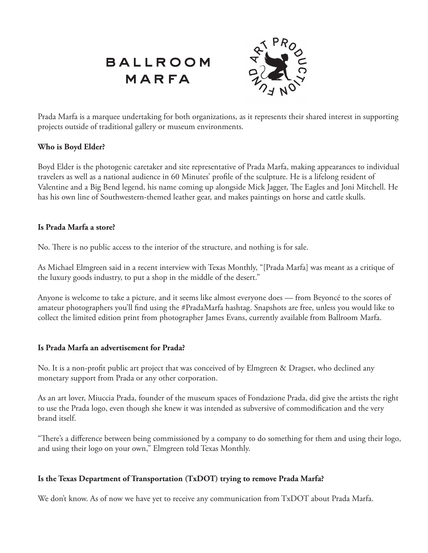

Prada Marfa is a marquee undertaking for both organizations, as it represents their shared interest in supporting projects outside of traditional gallery or museum environments.

#### **Who is Boyd Elder?**

Boyd Elder is the photogenic caretaker and site representative of Prada Marfa, making appearances to individual travelers as well as a national audience in 60 Minutes' profile of the sculpture. He is a lifelong resident of Valentine and a Big Bend legend, his name coming up alongside Mick Jagger, The Eagles and Joni Mitchell. He has his own line of Southwestern-themed leather gear, and makes paintings on horse and cattle skulls.

#### **Is Prada Marfa a store?**

No. There is no public access to the interior of the structure, and nothing is for sale.

As Michael Elmgreen said in a recent interview with Texas Monthly, "[Prada Marfa] was meant as a critique of the luxury goods industry, to put a shop in the middle of the desert."

Anyone is welcome to take a picture, and it seems like almost everyone does — from Beyoncé to the scores of amateur photographers you'll find using the #PradaMarfa hashtag. Snapshots are free, unless you would like to collect the limited edition print from photographer James Evans, currently available from Ballroom Marfa.

### **Is Prada Marfa an advertisement for Prada?**

No. It is a non-profit public art project that was conceived of by Elmgreen & Dragset, who declined any monetary support from Prada or any other corporation.

As an art lover, Miuccia Prada, founder of the museum spaces of Fondazione Prada, did give the artists the right to use the Prada logo, even though she knew it was intended as subversive of commodification and the very brand itself.

"There's a difference between being commissioned by a company to do something for them and using their logo, and using their logo on your own," Elmgreen told Texas Monthly.

### **Is the Texas Department of Transportation (TxDOT) trying to remove Prada Marfa?**

We don't know. As of now we have yet to receive any communication from TxDOT about Prada Marfa.